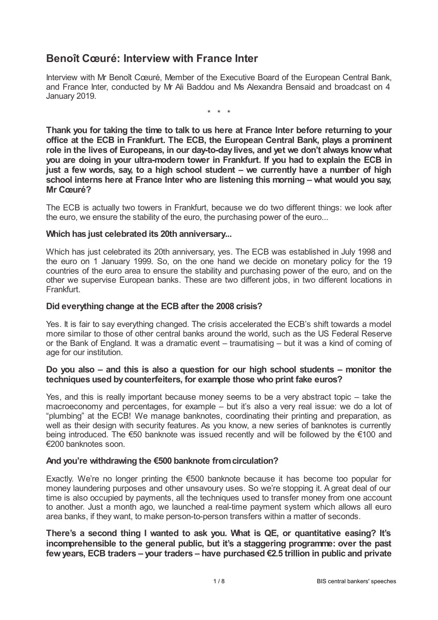# **Benoît Cœuré: Interview with France Inter**

Interview with Mr Benoît Cœuré, Member of the Executive Board of the European Central Bank, and France Inter, conducted by Mr Ali Baddou and Ms Alexandra Bensaid and broadcast on 4 January 2019.

\* \* \*

**Thank you for taking the time to talk to us here at France Inter before returning to your office at the ECB in Frankfurt. The ECB, the European Central Bank, plays a prominent role in the lives of Europeans, in our day-to-day lives, and yet we don't always knowwhat you are doing in your ultra-modern tower in Frankfurt. If you had to explain the ECB in just a few words, say, to a high school student – we currently have a number of high school interns here at France Inter who are listening this morning – what would you say, Mr Cœuré?**

The ECB is actually two towers in Frankfurt, because we do two different things: we look after the euro, we ensure the stability of the euro, the purchasing power of the euro...

#### **Which has just celebrated its 20th anniversary...**

Which has just celebrated its 20th anniversary, yes. The ECB was established in July 1998 and the euro on 1 January 1999. So, on the one hand we decide on monetary policy for the 19 countries of the euro area to ensure the stability and purchasing power of the euro, and on the other we supervise European banks. These are two different jobs, in two different locations in Frankfurt.

### **Did everything change at the ECB after the 2008 crisis?**

Yes. It is fair to say everything changed. The crisis accelerated the ECB's shift towards a model more similar to those of other central banks around the world, such as the US Federal Reserve or the Bank of England. It was a dramatic event – traumatising – but it was a kind of coming of age for our institution.

#### **Do you also – and this is also a question for our high school students – monitor the techniques used bycounterfeiters, for example those who print fake euros?**

Yes, and this is really important because money seems to be a very abstract topic – take the macroeconomy and percentages, for example – but it's also a very real issue: we do a lot of "plumbing" at the ECB! We manage banknotes, coordinating their printing and preparation, as well as their design with security features. As you know, a new series of banknotes is currently being introduced. The €50 banknote was issued recently and will be followed by the €100 and €200 banknotes soon.

# **And you're withdrawing the €500 banknote fromcirculation?**

Exactly. We're no longer printing the €500 banknote because it has become too popular for money laundering purposes and other unsavoury uses. So we're stopping it. A great deal of our time is also occupied by payments, all the techniques used to transfer money from one account to another. Just a month ago, we launched a real-time payment system which allows all euro area banks, if they want, to make person-to-person transfers within a matter of seconds.

**There's a second thing I wanted to ask you. What is QE, or quantitative easing? It's incomprehensible to the general public, but it's a staggering programme: over the past fewyears, ECB traders – your traders – have purchased €2.5 trillion in public and private**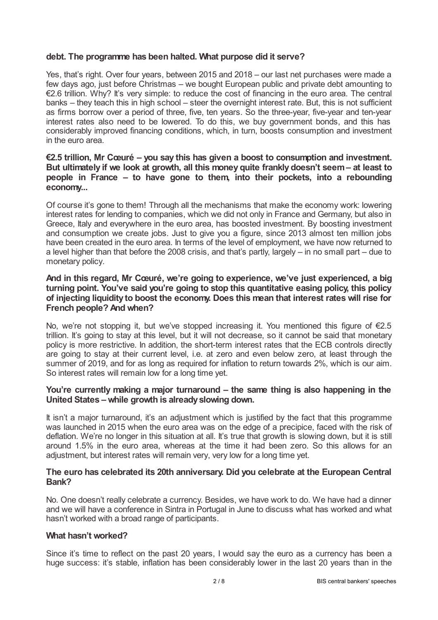### **debt. The programme has been halted. What purpose did it serve?**

Yes, that's right. Over four years, between 2015 and 2018 – our last net purchases were made a few days ago, just before Christmas – we bought European public and private debt amounting to €2.6 trillion. Why? It's very simple: to reduce the cost of financing in the euro area. The central banks – they teach this in high school – steer the overnight interest rate. But, this is not sufficient as firms borrow over a period of three, five, ten years. So the three-year, five-year and ten-year interest rates also need to be lowered. To do this, we buy government bonds, and this has considerably improved financing conditions, which, in turn, boosts consumption and investment in the euro area.

### **€2.5 trillion, Mr Cœuré – you say this has given a boost to consumption and investment. But ultimately if we look at growth, all this money quite frankly doesn't seem– at least to people in France – to have gone to them, into their pockets, into a rebounding economy...**

Of course it's gone to them! Through all the mechanisms that make the economy work: lowering interest rates for lending to companies, which we did not only in France and Germany, but also in Greece, Italy and everywhere in the euro area, has boosted investment. By boosting investment and consumption we create jobs. Just to give you a figure, since 2013 almost ten million jobs have been created in the euro area. In terms of the level of employment, we have now returned to a level higher than that before the 2008 crisis, and that's partly, largely – in no small part – due to monetary policy.

### **And in this regard, Mr Cœuré, we're going to experience, we've just experienced, a big turning point. You've said you're going to stop this quantitative easing policy, this policy of injecting liquidity to boost the economy. Does this mean that interest rates will rise for French people? And when?**

No, we're not stopping it, but we've stopped increasing it. You mentioned this figure of €2.5 trillion. It's going to stay at this level, but it will not decrease, so it cannot be said that monetary policy is more restrictive. In addition, the short-term interest rates that the ECB controls directly are going to stay at their current level, i.e. at zero and even below zero, at least through the summer of 2019, and for as long as required for inflation to return towards 2%, which is our aim. So interest rates will remain low for a long time yet.

### **You're currently making a major turnaround – the same thing is also happening in the United States –while growth is alreadyslowing down.**

It isn't a major turnaround, it's an adjustment which is justified by the fact that this programme was launched in 2015 when the euro area was on the edge of a precipice, faced with the risk of deflation. We're no longer in this situation at all. It's true that growth is slowing down, but it is still around 1.5% in the euro area, whereas at the time it had been zero. So this allows for an adjustment, but interest rates will remain very, very low for a long time yet.

#### **The euro has celebrated its 20th anniversary. Did you celebrate at the European Central Bank?**

No. One doesn't really celebrate a currency. Besides, we have work to do. We have had a dinner and we will have a conference in Sintra in Portugal in June to discuss what has worked and what hasn't worked with a broad range of participants.

#### **What hasn't worked?**

Since it's time to reflect on the past 20 years, I would say the euro as a currency has been a huge success: it's stable, inflation has been considerably lower in the last 20 years than in the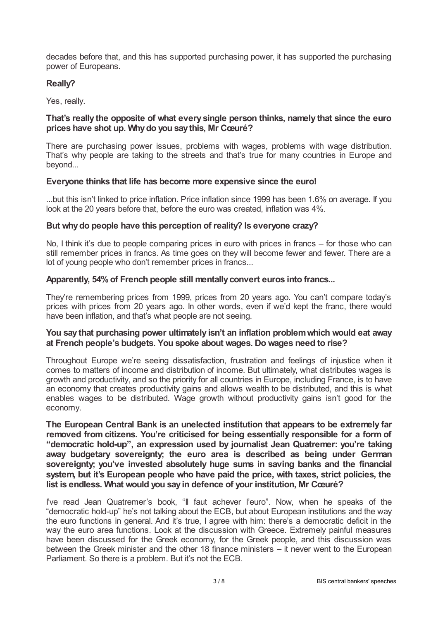decades before that, and this has supported purchasing power, it has supported the purchasing power of Europeans.

### **Really?**

Yes, really.

### **That's really the opposite of what every single person thinks, namely that since the euro prices have shot up. Whydo you saythis, Mr Cœuré?**

There are purchasing power issues, problems with wages, problems with wage distribution. That's why people are taking to the streets and that's true for many countries in Europe and beyond...

#### **Everyone thinks that life has become more expensive since the euro!**

...but this isn't linked to price inflation. Price inflation since 1999 has been 1.6% on average. If you look at the 20 years before that, before the euro was created, inflation was 4%.

#### **But whydo people have this perception of reality? Is everyone crazy?**

No, I think it's due to people comparing prices in euro with prices in francs – for those who can still remember prices in francs. As time goes on they will become fewer and fewer. There are a lot of young people who don't remember prices in francs...

#### **Apparently, 54%of French people still mentallyconvert euros into francs...**

They're remembering prices from 1999, prices from 20 years ago. You can't compare today's prices with prices from 20 years ago. In other words, even if we'd kept the franc, there would have been inflation, and that's what people are not seeing.

#### **You say that purchasing power ultimately isn't an inflation problemwhich would eat away at French people's budgets. You spoke about wages. Do wages need to rise?**

Throughout Europe we're seeing dissatisfaction, frustration and feelings of injustice when it comes to matters of income and distribution of income. But ultimately, what distributes wages is growth and productivity, and so the priority for all countries in Europe, including France, is to have an economy that creates productivity gains and allows wealth to be distributed, and this is what enables wages to be distributed. Wage growth without productivity gains isn't good for the economy.

**The European Central Bank is an unelected institution that appears to be extremely far removed from citizens. You're criticised for being essentially responsible for a form of "democratic hold-up", an expression used by journalist Jean Quatremer: you're taking away budgetary sovereignty; the euro area is described as being under German sovereignty; you've invested absolutely huge sums in saving banks and the financial system, but it's European people who have paid the price, with taxes, strict policies, the list is endless. What would you sayin defence of your institution, Mr Cœuré?**

I've read Jean Quatremer's book, "Il faut achever l'euro". Now, when he speaks of the "democratic hold-up" he's not talking about the ECB, but about European institutions and the way the euro functions in general. And it's true, I agree with him: there's a democratic deficit in the way the euro area functions. Look at the discussion with Greece. Extremely painful measures have been discussed for the Greek economy, for the Greek people, and this discussion was between the Greek minister and the other 18 finance ministers – it never went to the European Parliament. So there is a problem. But it's not the ECB.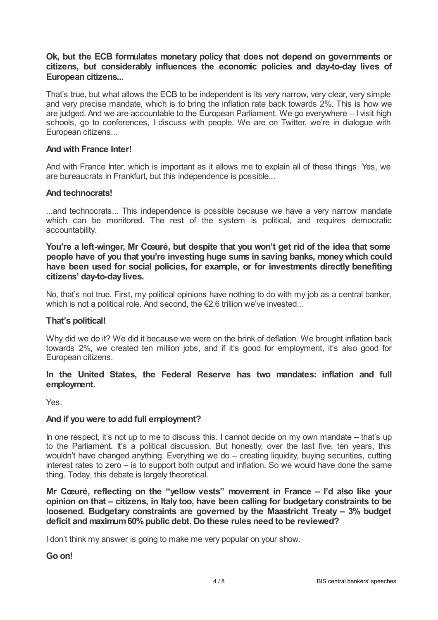### **Ok, but the ECB formulates monetary policy that does not depend on governments or citizens, but considerably influences the economic policies and day-to-day lives of European citizens...**

That's true, but what allows the ECB to be independent is its very narrow, very clear, very simple and very precise mandate, which is to bring the inflation rate back towards 2%. This is how we are judged. And we are accountable to the European Parliament. We go everywhere – I visit high schools, go to conferences, I discuss with people. We are on Twitter, we're in dialogue with European citizens...

### **And with France Inter!**

And with France Inter, which is important as it allows me to explain all of these things. Yes, we are bureaucrats in Frankfurt, but this independence is possible...

#### **And technocrats!**

...and technocrats... This independence is possible because we have a very narrow mandate which can be monitored. The rest of the system is political, and requires democratic accountability.

**You're a left-winger, Mr Cœuré, but despite that you won't get rid of the idea that some people have of you that you're investing huge sums in saving banks, moneywhich could have been used for social policies, for example, or for investments directly benefiting citizens' day-to-daylives.**

No, that's not true. First, my political opinions have nothing to do with my job as a central banker, which is not a political role. And second, the €2.6 trillion we've invested...

#### **That's political!**

Why did we do it? We did it because we were on the brink of deflation. We brought inflation back towards 2%, we created ten million jobs, and if it's good for employment, it's also good for European citizens.

### **In the United States, the Federal Reserve has two mandates: inflation and full employment.**

Yes.

#### **And if you were to add full employment?**

In one respect, it's not up to me to discuss this. I cannot decide on my own mandate – that's up to the Parliament. It's a political discussion. But honestly, over the last five, ten years, this wouldn't have changed anything. Everything we do – creating liquidity, buying securities, cutting interest rates to zero – is to support both output and inflation. So we would have done the same thing. Today, this debate is largely theoretical.

**Mr Cœuré, reflecting on the "yellow vests" movement in France – I'd also like your opinion on that – citizens, in Italy too, have been calling for budgetary constraints to be loosened. Budgetary constraints are governed by the Maastricht Treaty – 3% budget deficit and maximum60%public debt. Do these rules need to be reviewed?**

I don't think my answer is going to make me very popular on your show.

#### **Go on!**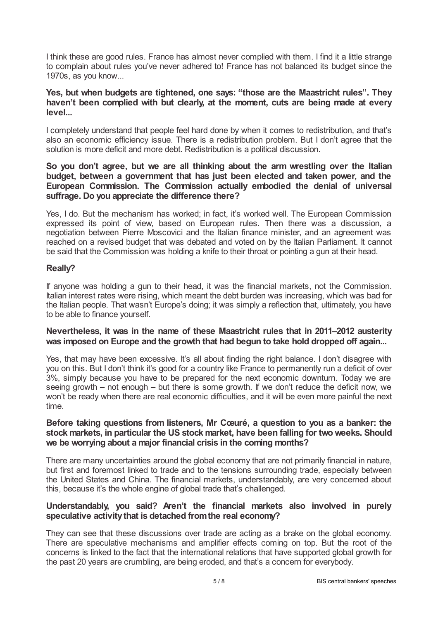I think these are good rules. France has almost never complied with them. I find it a little strange to complain about rules you've never adhered to! France has not balanced its budget since the 1970s, as you know...

### **Yes, but when budgets are tightened, one says: "those are the Maastricht rules". They haven't been complied with but clearly, at the moment, cuts are being made at every level...**

I completely understand that people feel hard done by when it comes to redistribution, and that's also an economic efficiency issue. There is a redistribution problem. But I don't agree that the solution is more deficit and more debt. Redistribution is a political discussion.

### **So you don't agree, but we are all thinking about the arm wrestling over the Italian budget, between a government that has just been elected and taken power, and the European Commission. The Commission actually embodied the denial of universal suffrage. Do you appreciate the difference there?**

Yes, I do. But the mechanism has worked; in fact, it's worked well. The European Commission expressed its point of view, based on European rules. Then there was a discussion, a negotiation between Pierre Moscovici and the Italian finance minister, and an agreement was reached on a revised budget that was debated and voted on by the Italian Parliament. It cannot be said that the Commission was holding a knife to their throat or pointing a gun at their head.

### **Really?**

If anyone was holding a gun to their head, it was the financial markets, not the Commission. Italian interest rates were rising, which meant the debt burden was increasing, which was bad for the Italian people. That wasn't Europe's doing; it was simply a reflection that, ultimately, you have to be able to finance yourself.

### **Nevertheless, it was in the name of these Maastricht rules that in 2011–2012 austerity was imposed on Europe and the growth that had begun to take hold dropped off again...**

Yes, that may have been excessive. It's all about finding the right balance. I don't disagree with you on this. But I don't think it's good for a country like France to permanently run a deficit of over 3%, simply because you have to be prepared for the next economic downturn. Today we are seeing growth – not enough – but there is some growth. If we don't reduce the deficit now, we won't be ready when there are real economic difficulties, and it will be even more painful the next time.

#### **Before taking questions from listeners, Mr Cœuré, a question to you as a banker: the stock markets, in particular the US stock market, have been falling for two weeks. Should we be worrying about a major financial crisis in the coming months?**

There are many uncertainties around the global economy that are not primarily financial in nature, but first and foremost linked to trade and to the tensions surrounding trade, especially between the United States and China. The financial markets, understandably, are very concerned about this, because it's the whole engine of global trade that's challenged.

### **Understandably, you said? Aren't the financial markets also involved in purely speculative activitythat is detached fromthe real economy?**

They can see that these discussions over trade are acting as a brake on the global economy. There are speculative mechanisms and amplifier effects coming on top. But the root of the concerns is linked to the fact that the international relations that have supported global growth for the past 20 years are crumbling, are being eroded, and that's a concern for everybody.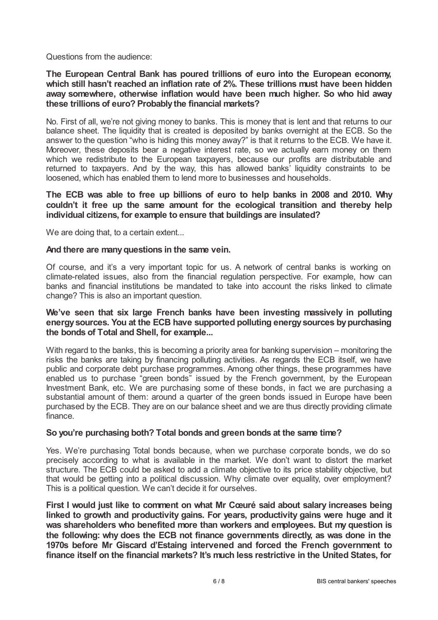Questions from the audience:

**The European Central Bank has poured trillions of euro into the European economy, which still hasn't reached an inflation rate of 2%. These trillions must have been hidden away somewhere, otherwise inflation would have been much higher. So who hid away these trillions of euro? Probablythe financial markets?**

No. First of all, we're not giving money to banks. This is money that is lent and that returns to our balance sheet. The liquidity that is created is deposited by banks overnight at the ECB. So the answer to the question "who is hiding this money away?" is that it returns to the ECB. We have it. Moreover, these deposits bear a negative interest rate, so we actually earn money on them which we redistribute to the European taxpayers, because our profits are distributable and returned to taxpayers. And by the way, this has allowed banks' liquidity constraints to be loosened, which has enabled them to lend more to businesses and households.

**The ECB was able to free up billions of euro to help banks in 2008 and 2010. Why couldn't it free up the same amount for the ecological transition and thereby help individual citizens, for example to ensure that buildings are insulated?**

We are doing that, to a certain extent...

#### **And there are manyquestions in the same vein.**

Of course, and it's a very important topic for us. A network of central banks is working on climate-related issues, also from the financial regulation perspective. For example, how can banks and financial institutions be mandated to take into account the risks linked to climate change? This is also an important question.

### **We've seen that six large French banks have been investing massively in polluting energysources. You at the ECB have supported polluting energysources bypurchasing the bonds of Total and Shell, for example...**

With regard to the banks, this is becoming a priority area for banking supervision – monitoring the risks the banks are taking by financing polluting activities. As regards the ECB itself, we have public and corporate debt purchase programmes. Among other things, these programmes have enabled us to purchase "green bonds" issued by the French government, by the European Investment Bank, etc. We are purchasing some of these bonds, in fact we are purchasing a substantial amount of them: around a quarter of the green bonds issued in Europe have been purchased by the ECB. They are on our balance sheet and we are thus directly providing climate finance.

#### **So you're purchasing both? Total bonds and green bonds at the same time?**

Yes. We're purchasing Total bonds because, when we purchase corporate bonds, we do so precisely according to what is available in the market. We don't want to distort the market structure. The ECB could be asked to add a climate objective to its price stability objective, but that would be getting into a political discussion. Why climate over equality, over employment? This is a political question. We can't decide it for ourselves.

**First I would just like to comment on what Mr Cœuré said about salary increases being linked to growth and productivity gains. For years, productivity gains were huge and it was shareholders who benefited more than workers and employees. But my question is the following: why does the ECB not finance governments directly, as was done in the 1970s before Mr Giscard d'Estaing intervened and forced the French government to finance itself on the financial markets? It's much less restrictive in the United States, for**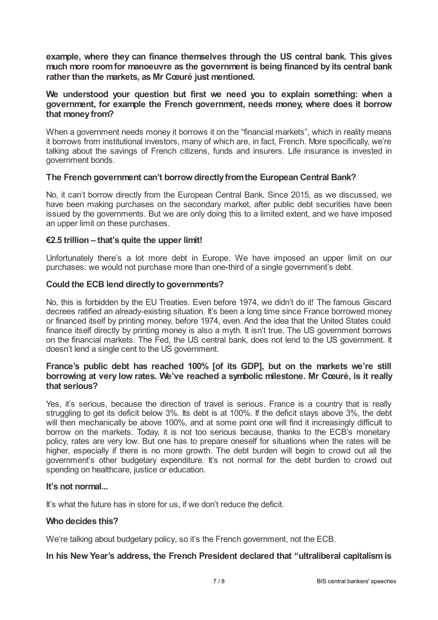**example, where they can finance themselves through the US central bank. This gives much more roomfor manoeuvre as the government is being financed by its central bank rather than the markets, as Mr Cœuré just mentioned.**

### **We understood your question but first we need you to explain something: when a government, for example the French government, needs money, where does it borrow that money from?**

When a government needs money it borrows it on the "financial markets", which in reality means it borrows from institutional investors, many of which are, in fact, French. More specifically, we're talking about the savings of French citizens, funds and insurers. Life insurance is invested in government bonds.

# **The French government can't borrowdirectlyfromthe European Central Bank?**

No, it can't borrow directly from the European Central Bank. Since 2015, as we discussed, we have been making purchases on the secondary market, after public debt securities have been issued by the governments. But we are only doing this to a limited extent, and we have imposed an upper limit on these purchases.

### **€2.5 trillion – that's quite the upper limit!**

Unfortunately there's a lot more debt in Europe. We have imposed an upper limit on our purchases: we would not purchase more than one-third of a single government's debt.

#### **Could the ECB lend directlyto governments?**

No, this is forbidden by the EU Treaties. Even before 1974, we didn't do it! The famous Giscard decrees ratified an already-existing situation. It's been a long time since France borrowed money or financed itself by printing money, before 1974, even. And the idea that the United States could finance itself directly by printing money is also a myth. It isn't true. The US government borrows on the financial markets. The Fed, the US central bank, does not lend to the US government. It doesn't lend a single cent to the US government.

### **France's public debt has reached 100% [of its GDP], but on the markets we're still borrowing at very low rates. We've reached a symbolic milestone. Mr Cœuré, is it really that serious?**

Yes, it's serious, because the direction of travel is serious. France is a country that is really struggling to get its deficit below 3%. Its debt is at 100%. If the deficit stays above 3%, the debt will then mechanically be above 100%, and at some point one will find it increasingly difficult to borrow on the markets. Today, it is not too serious because, thanks to the ECB's monetary policy, rates are very low. But one has to prepare oneself for situations when the rates will be higher, especially if there is no more growth. The debt burden will begin to crowd out all the government's other budgetary expenditure. It's not normal for the debt burden to crowd out spending on healthcare, justice or education.

#### **It's not normal...**

It's what the future has in store for us, if we don't reduce the deficit.

#### **Who decides this?**

We're talking about budgetary policy, so it's the French government, not the ECB.

#### **In his New Year's address, the French President declared that "ultraliberal capitalismis**